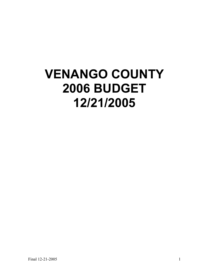# **VENANGO COUNTY 2006 BUDGET 12/21/2005**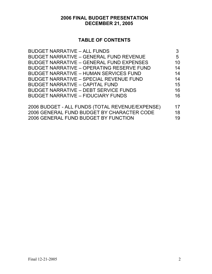# **2006 FINAL BUDGET PRESENTATION DECEMBER 21, 2005**

# **TABLE OF CONTENTS**

| <b>BUDGET NARRATIVE - ALL FUNDS</b>              | 3  |
|--------------------------------------------------|----|
| <b>BUDGET NARRATIVE - GENERAL FUND REVENUE</b>   | 5  |
| <b>BUDGET NARRATIVE - GENERAL FUND EXPENSES</b>  | 10 |
| <b>BUDGET NARRATIVE - OPERATING RESERVE FUND</b> | 14 |
| <b>BUDGET NARRATIVE - HUMAN SERVICES FUND</b>    | 14 |
| <b>BUDGET NARRATIVE - SPECIAL REVENUE FUND</b>   | 14 |
| <b>BUDGET NARRATIVE - CAPITAL FUND</b>           | 15 |
| <b>BUDGET NARRATIVE - DEBT SERVICE FUNDS</b>     | 16 |
| <b>BUDGET NARRATIVE - FIDUCIARY FUNDS</b>        | 16 |
| 2006 BUDGET - ALL FUNDS (TOTAL REVENUE/EXPENSE)  | 17 |
| 2006 GENERAL FUND BUDGET BY CHARACTER CODE       | 18 |
| 2006 GENERAL FUND BUDGET BY FUNCTION             | 19 |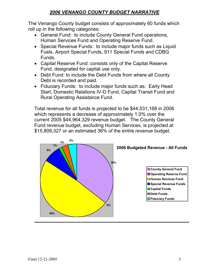# *2006 VENANGO COUNTY BUDGET NARRATIVE*

The Venango County budget consists of approximately 60 funds which roll up in the following categories:

- General Fund: to include County General Fund operations, Human Services Fund and Operating Reserve Fund.
- Special Revenue Funds: to include major funds such as Liquid Fuels, Airport Special Funds, 911 Special Funds and CDBG Funds.
- Capital Reserve Fund: consists only of the Capital Reserve Fund, designated for capital use only.
- Debt Fund: to include the Debt Funds from where all County Debt is recorded and paid.
- Fiduciary Funds: to include major funds such as: Early Head Start, Domestic Relations IV-D Fund, Capital Transit Fund and Rural Operating Assistance Fund.

Total revenue for all funds is projected to be \$44,531,168 in 2006 which represents a decrease of approximately 1.0% over the current 2005 \$44,964,329 revenue budget. The County General Fund revenue budget, excluding Human Services, is projected at \$15,809,327 or an estimated 36% of the entire revenue budget.

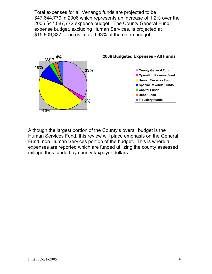Total expenses for all Venango funds are projected to be \$47,644,779 in 2006 which represents an increase of 1.2% over the 2005 \$47,087,772 expense budget. The County General Fund expense budget, excluding Human Services, is projected at \$15,809,327 or an estimated 33% of the entire budget.



Although the largest portion of the County's overall budget is the Human Services Fund, this review will place emphasis on the General Fund, non Human Services portion of the budget. This is where all expenses are reported which are funded utilizing the county assessed millage thus funded by county taxpayer dollars.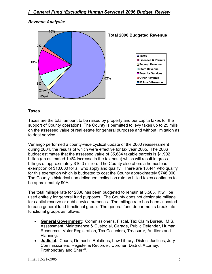#### *Revenue Analysis:*



#### **Taxes**

Taxes are the total amount to be raised by property and per capita taxes for the support of County operations. The County is permitted to levy taxes up to 25 mills on the assessed value of real estate for general purposes and without limitation as to debt service.

Venango performed a county-wide cyclical update of the 2000 reassessment during 2004, the results of which were effective for tax year 2005. The 2006 budget estimates that the assessed value of 35,684 taxable parcels is \$1.902 billion (an estimated 1.4% increase in the tax base) which will result in gross billings of approximately \$10.3 million. The County also offers a homestead exemption of \$10,000 for all who apply and qualify. There are 13,441 who qualify for this exemption which is budgeted to cost the County approximately \$748,000. The County's historical non delinquent collection rate on billed taxes continues to be approximately 90%.

The total millage rate for 2006 has been budgeted to remain at 5.565. It will be used entirely for general fund purposes. The County does not designate millage for capital reserve or debt service purposes. The millage rate has been allocated to each general fund functional group. The general fund departments break into functional groups as follows:

- **General Government**: Commissioner's, Fiscal, Tax Claim Bureau, MIS, Assessment, Maintenance & Custodial, Garage, Public Defender, Human Resources, Voter Registration, Tax Collectors, Treasurer, Auditors and Planning.
- **Judicial**: Courts, Domestic Relations, Law Library, District Justices, Jury Commissioners, Register & Recorder, Coroner, District Attorney, Prothonotary and Sheriff.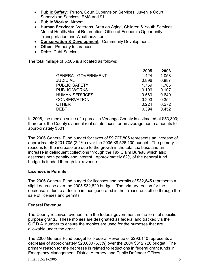- **Public Safety**: Prison, Court Supervision Services, Juvenile Court Supervision Services, EMA and 911.
- **Public Works**: Airport.
- **Human Services**: Veterans, Area on Aging, Children & Youth Services, Mental Health/Mental Retardation, Office of Economic Opportunity, Transportation and Weatherization.
- **Conservation & Development**: Community Development.
- **Other**: Property Insurances
- **Debt:** Debt Service.

The total millage of 5.565 is allocated as follows:

|                           | 2005  | 2006  |
|---------------------------|-------|-------|
| <b>GENERAL GOVERNMENT</b> | 1.424 | 1.058 |
| <b>JUDICIAL</b>           | 0.896 | 0.887 |
| <b>PUBLIC SAFETY</b>      | 1.759 | 1.786 |
| <b>PUBLIC WORKS</b>       | 0.106 | 0.107 |
| <b>HUMAN SERVICES</b>     | 0.560 | 0.649 |
| <b>CONSERVATION</b>       | 0.203 | 0.354 |
| <b>OTHER</b>              | 0.224 | 0.272 |
| <b>DEBT</b>               | 0.394 | 0.452 |

In 2006, the median value of a parcel in Venango County is estimated at \$53,300; therefore, the County's annual real estate taxes for an average home amounts to approximately \$301.

The 2006 General Fund budget for taxes of \$9,727,805 represents an increase of approximately \$201,705 (2.1%) over the 2005 \$9,526,100 budget. The primary reasons for the increase are due to the growth in the total tax base and an increase in delinquent collections through the Tax Claim Bureau which also assesses both penalty and interest. Approximately 62% of the general fund budget is funded through tax revenue.

#### **Licenses & Permits**

The 2006 General Fund budget for licenses and permits of \$32,645 represents a slight decrease over the 2005 \$32,820 budget. The primary reason for the decrease is due to a decline in fees generated in the Treasurer's office through the sale of licenses and permits.

#### **Federal Revenue**

The County receives revenue from the federal government in the form of specific purpose grants. These monies are designated as federal and tracked via the C.F.D.A. number to ensure the monies are used for the purposes that are allowable under the grant.

The 2006 General Fund budget for Federal Revenue of \$293,140 represents a decrease of approximately \$20,000 (6.3%) over the 2004 \$312,726 budget. The primary reason for the decrease is related to reductions in federal grant funds in Emergency Management, District Attorney, and Public Defender Offices.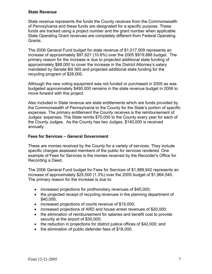#### **State Revenue**

State revenue represents the funds the County receives from the Commonwealth of Pennsylvania and these funds are designated for a specific purpose. These funds are tracked using a project number and the grant number when applicable. State Operating Grant revenues are completely different from Federal Operating Grants.

The 2006 General Fund budget for state revenue of \$1,017,509 represents an increase of approximately \$97,621 (10.6%) over the 2005 \$919,888 budget. The primary reason for the increase is due to projected additional state funding of approximately \$88,000 to cover the increase in the District Attorney's salary mandated by Senate Bill 565 and projected additional state funding for the recycling program of \$28,000.

Although the new voting equipment was not funded or purchased in 2005 as was budgeted approximately \$490,000 remains in the state revenue budget in 2006 to move forward with this project.

Also included in State revenue are state entitlements which are funds provided by the Commonwealth of Pennsylvania to the County for the State's portion of specific expenses. The primary entitlement the County receives is the reimbursement of Judges' expenses. The State remits \$70,000 to the County every year for each of the County Judges. As the County has two Judges, \$140,000 is received annually.

#### **Fees for Services – General Government**

These are monies received by the County for a variety of services. They include specific charges assessed members of the public for services rendered. One example of Fees for Services is the monies received by the Recorder's Office for Recording a Deed.

The 2006 General Fund budget for Fees for Services of \$1,989,942 represents an increase of approximately \$25,000 (1.3%) over the 2005 budget of \$1,964,540. The primary reason for the increase is due to:

- increased projections for prothonotary revenues of \$45,000;
- the projected receipt of recycling revenues in the planning department of \$40,000;
- increased projections of courts revenue of \$15,000;
- increased projections of ARD and house arrest revenues of \$20,000;
- the elimination of reimbursement for salaries and benefit cost to provide security at the airport of \$30,000;
- the reduction in projections for district justice offices of \$42,000; and
- the elimination of public defender fees of \$18,000.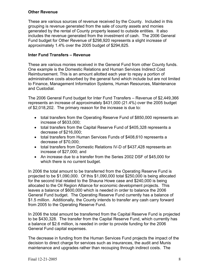#### **Other Revenue**

These are various sources of revenue received by the County. Included in this grouping is revenue generated from the sale of county assets and monies generated by the rental of County property leased to outside entities. It also includes the revenue generated from the investment of cash. The 2006 General Fund budget for Other Revenue of \$298,920 represents a slight increase of approximately 1.4% over the 2005 budget of \$294,825.

#### **Inter Fund Transfers – Revenue**

These are various monies received in the General Fund from other County funds. One example is the Domestic Relations and Human Services Indirect Cost Reimbursement. This is an amount allotted each year to repay a portion of administrative costs absorbed by the general fund which include but are not limited to Finance, Management Information Systems, Human Resources, Maintenance and Custodial.

The 2006 General Fund budget for Inter Fund Transfers – Revenue of \$2,449,366 represents an increase of approximately \$431,000 (21.4%) over the 2005 budget of \$2,018,202. The primary reason for the increase is due to:

- total transfers from the Operating Reserve Fund of \$850,000 represents an increase of \$633,000;
- total transfers from the Capital Reserve Fund of \$405,328 represents a decrease of \$216,000;
- total transfers from Human Services Funds of \$408,610 represents a decrease of \$70,000;
- total transfers from Domestic Relations IV-D of \$437,428 represents an increase of \$27,000; and
- An increase due to a transfer from the Series 2002 DSF of \$45,000 for which there is no current budget.

In 2006 the total amount to be transferred from the Operating Reserve Fund is projected to be \$1,090,000. Of this \$1,090,000 total \$250,000 is being allocated for the second trial related to the Shauna Howe case and \$240,000 is being allocated to the Oil Region Alliance for economic development projects. This leaves a balance of \$600,000 which is needed in order to balance the 2006 General Fund budget. The Operating Reserve Fund currently has a balance of \$1.5 million. Additionally, the County intends to transfer any cash carry forward from 2005 to the Operating Reserve Fund.

In 2006 the total amount be transferred from the Capital Reserve Fund is projected to be \$430,328. The transfer from the Capital Reserve Fund, which currently has a balance of \$2.6 million, is needed in order to provide funding for the 2006 General Fund capital expenses.

The decrease in funding from the Human Services Fund projects the impact of the decision to direct charge for services such as insurances, the audit and Munis maintenance and upgrades rather than recouping through indirect costs. The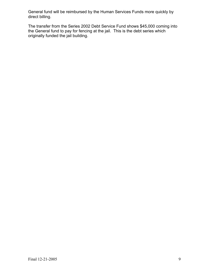General fund will be reimbursed by the Human Services Funds more quickly by direct billing.

The transfer from the Series 2002 Debt Service Fund shows \$45,000 coming into the General fund to pay for fencing at the jail. This is the debt series which originally funded the jail building.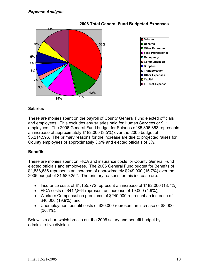

#### **2006 Total General Fund Budgeted Expenses**

#### **Salaries**

These are monies spent on the payroll of County General Fund elected officials and employees. This excludes any salaries paid for Human Services or 911 employees. The 2006 General Fund budget for Salaries of \$5,396,863 represents an increase of approximately \$182,000 (3.5%) over the 2005 budget of \$5,214,596. The primary reasons for the increase are due to projected raises for County employees of approximately 3.5% and elected officials of 3%.

#### **Benefits**

These are monies spent on FICA and insurance costs for County General Fund elected officials and employees. The 2006 General Fund budget for Benefits of \$1,838,636 represents an increase of approximately \$249,000 (15.7%) over the 2005 budget of \$1,589,252. The primary reasons for this increase are:

- Insurance costs of \$1,155,772 represent an increase of \$182,000 (18.7%);
- FICA costs of \$412,864 represent an increase of 19,000 (4.9%);
- Workers Compensation premiums of \$240,000 represent an increase of \$40,000 (19.9%); and
- Unemployment benefit costs of \$30,000 represent an increase of \$8,000 (36.4%).

Below is a chart which breaks out the 2006 salary and benefit budget by administrative division.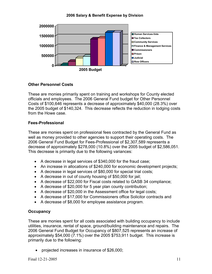#### **2006 Salary & Benefit Expense by Division**



#### **Other Personnel Costs**

These are monies primarily spent on training and workshops for County elected officials and employees. The 2006 General Fund budget for Other Personnel Costs of \$100,646 represents a decrease of approximately \$40,000 (28.3%) over the 2005 budget of \$140,324. This decrease reflects the reduction in lodging costs from the Howe case.

#### **Fees-Professional**

These are monies spent on professional fees contracted by the General Fund as well as money provided to other agencies to support their operating costs. The 2006 General Fund Budget for Fees-Professional of \$2,307,589 represents a decrease of approximately \$278,000 (10.8%) over the 2005 budget of \$2,586,051. This decrease is primarily due to the following variances:

- A decrease in legal services of \$340,000 for the fraud case;
- An increase in allocations of \$240,000 for economic development projects;
- A decrease in legal services of \$80,000 for special trial costs;
- A decrease in out of county housing of \$50,000 for jail;
- A decrease of \$22,000 for Fiscal costs related to GASB 34 compliance;
- A decrease of \$20,000 for 5 year plan county contribution;
- A decrease of \$20,000 in the Assessment office for legal costs;
- A decrease of \$17,000 for Commissioners office Solicitor contracts and
- A decrease of \$8,000 for employee assistance program.

#### **Occupancy**

These are monies spent for all costs associated with building occupancy to include utilities, insurance, rental of space, ground/building maintenance and repairs. The 2006 General Fund Budget for Occupancy of \$807,525 represents an increase of approximately \$54,000 (7.1%) over the 2005 \$753,911 budget. This increase is primarily due to the following:

• projected increases in insurance of \$26,000;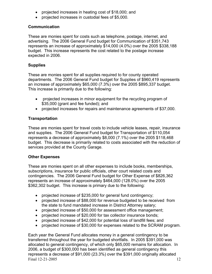- projected increases in heating cost of \$18,000; and
- projected increases in custodial fees of \$5,000.

#### **Communication**

These are monies spent for costs such as telephone, postage, internet, and advertising. The 2006 General Fund budget for Communication of \$351,743 represents an increase of approximately \$14,000 (4.0%) over the 2005 \$338,188 budget. This increase represents the cost related to the postage increase expected in 2006.

#### **Supplies**

These are monies spent for all supplies required to for county operated departments. The 2006 General Fund budget for Supplies of \$960,419 represents an increase of approximately \$65,000 (7.3%) over the 2005 \$895,337 budget. This increase is primarily due to the following:

- projected increases in minor equipment for the recycling program of \$35,000 (grant and fee funded); and
- projected increases for repairs and maintenance agreements of \$37,000.

#### **Transportation**

These are monies spent for travel costs to include vehicle leases, repair, insurance and supplies. The 2006 General Fund budget for Transportation of \$110,054 represents a decrease of approximately \$8,000 (7.1%) over the 2005 \$118,468 budget. This decrease is primarily related to costs associated with the reduction of services provided at the County Garage.

#### **Other Expenses**

These are monies spent on all other expenses to include books, memberships, subscriptions, insurance for public officials, other court related costs and contingencies. The 2006 General Fund budget for Other Expense of \$826,362 represents an increase of approximately \$464,000 (128.0%) over the 2005 \$362,302 budget. This increase is primary due to the following:

- projected increase of \$235,000 for general fund contingency;
- projected increase of \$88,000 for revenue budgeted to be received from the state to fund mandated increase in District Attorney salary;
- projected increase of \$50,000 for assessment office management;
- projected increase of \$20,000 for tax collector insurance bonds;
- projected increase of \$42,000 for potential loss of landfill fees; and
- projected increase of \$30,000 for expenses related to the SCRAM program.

Final 12-21-2005 12 Each year the General Fund allocates money in a general contingency to be transferred throughout the year for budgeted shortfalls. In 2005 \$391,000 was allocated to general contingency, of which only \$65,000 remains for allocation. In 2006, a budget of \$300,000 has been identified as general contingency this represents a decrease of \$91,000 (23.3%) over the \$391,000 originally allocated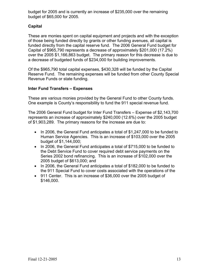budget for 2005 and is currently an increase of \$235,000 over the remaining budget of \$65,000 for 2005.

## **Capital**

These are monies spent on capital equipment and projects and with the exception of those being funded directly by grants or other funding avenues, all capital is funded directly from the capital reserve fund. The 2006 General Fund budget for Capital of \$965,790 represents a decrease of approximately \$201,000 (17.2%) over the 2005 \$1,166,863 budget. The primary reason for this decrease is due to a decrease of budgeted funds of \$234,000 for building improvements.

Of the \$965,790 total capital expenses, \$430,328 will be funded by the Capital Reserve Fund. The remaining expenses will be funded from other County Special Revenue Funds or state funding.

#### **Inter Fund Transfers – Expenses**

These are various monies provided by the General Fund to other County funds. One example is County's responsibility to fund the 911 special revenue fund.

The 2006 General Fund budget for Inter Fund Transfers – Expense of \$2,143,700 represents an increase of approximately \$240,000 (12.6%) over the 2005 budget of \$1,903,289. The primary reasons for the increase are due to:

- In 2006, the General Fund anticipates a total of \$1,247,000 to be funded to Human Service Agencies. This is an increase of \$103,000 over the 2005 budget of \$1,144,000;
- In 2006, the General Fund anticipates a total of \$715,000 to be funded to the Debt Service Fund to cover required debt service payments on the Series 2002 bond refinancing. This is an increase of \$102,000 over the 2005 budget of \$613,000; and
- In 2006, the General Fund anticipates a total of \$182,000 to be funded to the 911 Special Fund to cover costs associated with the operations of the
- 911 Center. This is an increase of \$36,000 over the 2005 budget of \$146,000.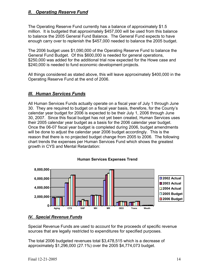## *II. Operating Reserve Fund*

The Operating Reserve Fund currently has a balance of approximately \$1.5 million. It is budgeted that approximately \$457,000 will be used from this balance to balance the 2005 General Fund Balance. The General Fund expects to have enough carry over to replenish the \$457,000 needed to balance the 2005 budget.

The 2006 budget uses \$1,090,000 of the Operating Reserve Fund to balance the General Fund Budget. Of this \$600,000 is needed for general operations, \$250,000 was added for the additional trial now expected for the Howe case and \$240,000 is needed to fund economic development projects.

All things considered as stated above, this will leave approximately \$400,000 in the Operating Reserve Fund at the end of 2006.

## *III. Human Services Funds*

All Human Services Funds actually operate on a fiscal year of July 1 through June 30. They are required to budget on a fiscal year basis, therefore, for the County's calendar year budget for 2006 is expected to be their July 1, 2006 through June 30, 2007. Since this fiscal budget has not yet been created, Human Services uses their 2005 calendar year budget as a basis for the 2006 calendar year budget. Once the 06-07 fiscal year budget is completed during 2006, budget amendments will be done to adjust the calendar year 2006 budget accordingly. This is the reason that there is no projected budget change from 2005 to 2006. The following chart trends the expenses per Human Services Fund which shows the greatest growth in CYS and Mental Retardation:



#### **Human Services Expenses Trend**

#### *IV. Special Revenue Funds*

Special Revenue Funds are used to account for the proceeds of specific revenue sources that are legally restricted to expenditures for specified purposes.

The total 2006 budgeted revenues total \$3,478,515 which is a decrease of approximately \$1,296,000 (27.1%) over the 2005 \$4,774,073 budget.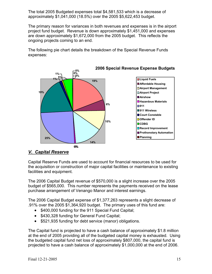The total 2005 Budgeted expenses total \$4,581,533 which is a decrease of approximately \$1,041,000 (18.5%) over the 2005 \$5,622,453 budget.

The primary reason for variances in both revenues and expenses is in the airport project fund budget. Revenue is down approximately \$1,451,000 and expenses are down approximately \$1,672,000 from the 2005 budget. This reflects the ongoing projects coming to an end.

The following pie chart details the breakdown of the Special Revenue Funds expenses:



**2006 Special Revenue Expense Budgets**

## *V. Capital Reserve*

Capital Reserve Funds are used to account for financial resources to be used for the acquisition or construction of major capital facilities or maintenance to existing facilities and equipment.

The 2006 Capital Budget revenue of \$570,000 is a slight increase over the 2005 budget of \$565,000. This number represents the payments received on the lease purchase arrangement of Venango Manor and interest earnings.

The 2006 Capital Budget expense of \$1,377,263 represents a slight decrease of .91% over the 2005 \$1,364,920 budget. The primary uses of this fund are:

- \$400,000 funding for the 911 Special Fund Capital;
- \$430,328 funding for General Fund Capital;
- \$521,935 funding for debt service (manor) obligations.

The Capital fund is projected to have a cash balance of approximately \$1.8 million at the end of 2005 providing all of the budgeted capital money is exhausted. Using the budgeted capital fund net loss of approximately \$807,000, the capital fund is projected to have a cash balance of approximately \$1,000,000 at the end of 2006.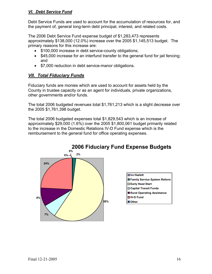#### *VI. Debt Service Fund*

Debt Service Funds are used to account for the accumulation of resources for, and the payment of, general long-term debt principal, interest, and related costs.

The 2006 Debt Service Fund expense budget of \$1,283,473 represents approximately \$138,000 (12.0%) increase over the 2005 \$1,145,513 budget. The primary reasons for this increase are:

- \$100,000 increase in debt service-county obligations;
- \$45,000 increase for an interfund transfer to the general fund for jail fencing; and
- \$7,000 reduction in debt service-manor obligations.

# *VII. Total Fiduciary Funds*

Fiduciary funds are monies which are used to account for assets held by the County in trustee capacity or as an agent for individuals, private organizations, other governments and/or funds.

The total 2006 budgeted revenues total \$1,761,213 which is a slight decrease over the 2005 \$1,761,398 budget.

The total 2006 budgeted expenses total \$1,829,543 which is an increase of approximately \$29,000 (1.6%) over the 2005 \$1,800,061 budget primarily related to the increase in the Domestic Relations IV-D Fund expense which is the reimbursement to the general fund for office operating expenses.

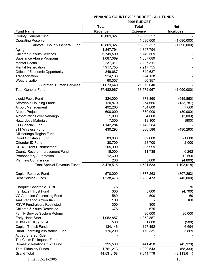|                                      |              | 2006 BUDGET    |               |
|--------------------------------------|--------------|----------------|---------------|
|                                      | <b>Total</b> | <b>Total</b>   | <b>Net</b>    |
| <b>Fund Name</b>                     | Revenue      | <b>Expense</b> | Inc/(Loss)    |
| <b>County General Fund</b>           | 15,809,327   | 15,809,327     |               |
| <b>Operating Reserve</b>             |              | 1,090,000      | (1,090,000)   |
| Subtotal: County General Fund        | 15,809,327   | 16,889,327     | (1,090,000)   |
| Aging                                | 1,847,794    | 1,847,794      |               |
| <b>Children &amp; Youth Services</b> | 6,749,509    | 6,749,509      |               |
| Substance Abuse Programs             | 1,087,089    | 1,087,089      |               |
| <b>Mental Health</b>                 | 2,237,311    | 2,237,311      |               |
| <b>Mental Retardation</b>            | 7,917,755    | 7,917,755      |               |
| Office of Economic Opportunity       | 849,687      | 849,687        |               |
| Transportation                       | 924,138      | 924,138        |               |
| Weatherization                       | 60,357       | 60,357         |               |
| Subtotal: Human Services             | 21,673,640   | 21,673,640     |               |
| <b>Total General Fund</b>            | 37,482,967   | 38,572,967     | (1,090,000)   |
| Liquid Fuels Fund                    | 324,000      | 873,860        | (549, 860)    |
| <b>Affordable Housing Funds</b>      | 120,879      | 254,666        | (133, 787)    |
| <b>Airport Management</b>            | 492,260      | 484,600        | 7,660         |
| <b>Airport Project</b>               | 600,000      | 630,000        | (30,000)      |
| Airport Wings over Venango           | 1,000        | 4,000          | (3,000)       |
| <b>Hazardous Materials</b>           | 17,300       | 18,100         | (800)         |
| 911 Special Fund                     | 1,142,284    | 1,142,284      |               |
| 911 Wireless Fund                    | 430,293      | 860,586        | (430, 293)    |
| Oil Heritage Region Fund             |              |                |               |
| <b>Court Constable Fund</b>          | 83,000       | 62,000         | 21,000        |
| Offender ID Fund                     | 30,700       | 28,700         | 2,000         |
| <b>CDBG Grant Disbursement</b>       | 205,999      | 205,999        |               |
| County Record Improvement Fund       | 18,000       | 11,738         | 6,262         |
| <b>Prothonotary Automation</b>       | 12,600       |                | 12,600        |
| <b>Planning Commission</b>           | 200          | 5,000          | (4,800)       |
| <b>Total Special Revenue Funds</b>   | 3,478,515    | 4,581,533      | (1, 103, 018) |
| <b>Capital Reserve Fund</b>          | 570,000      | 1,377,263      | (807, 263)    |
| <b>Debt Service Funds</b>            | 1,238,473    | 1,283,473      | (45,000)      |
|                                      |              |                |               |
| Lindquist Charitable Trust           | 75           |                | 75            |
| Ira Hazlett Trust Fund               | 300          | 5,000          | (4,700)       |
| VC Adoption Counseling Fund          | 560          | 500            | 60            |
| AAA Venango Action #46               | 100          |                | 100           |
| <b>RSVP Fundraisers Restricted</b>   | 300          | 300            |               |
| Children & Youth Restricted          | 675          | 675            |               |
| Family Service System Reform         |              | 30,000         | 30,000        |
| Early Head Start                     | 1,052,857    | 1,052,857      |               |
| <b>MH/MR Phillips Trust</b>          | 500          | 1,000          | (500)         |
| <b>Capital Transit Funds</b>         | 134,146      | 127,452        | 6,694         |
| Rural Operating Assistance Fund      | 176,200      | 170,331        | 5,869         |
| Act 26 Shared Ride                   |              |                |               |
| Tax Claim Delinquent Fund            |              |                |               |
| Domestic Relations IV-D Fund         | 395,500      | 441,428        | (45, 928)     |
| <b>Total Fiduciary Funds</b>         | 1,761,213    | 1,829,543      | (68, 330)     |
| <b>Grand Total</b>                   | 44,531,168   | 47,644,779     | (3, 113, 611) |
| Final 12-21-2005                     |              |                | 17            |

#### **VENANGO COUNTY 2006 BUDGET - ALL FUNDS**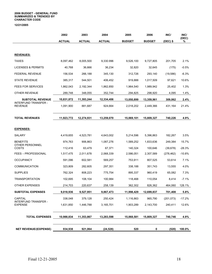#### **2006 BUDGET - GENERAL FUND SUMMARIZED & TRENDED BY CHARACTER CODE**

**12/21/2005** 

|                                               | 2002          | 2003          | 2004          | 2005          | 2006          | INC/       | INC/<br>(DEC) |
|-----------------------------------------------|---------------|---------------|---------------|---------------|---------------|------------|---------------|
|                                               | <b>ACTUAL</b> | <b>ACTUAL</b> | <b>ACTUAL</b> | <b>BUDGET</b> | <b>BUDGET</b> | $(DEC)$ \$ | ℅             |
|                                               |               |               |               |               |               |            |               |
| <b>REVENUES:</b>                              |               |               |               |               |               |            |               |
| <b>TAXES</b>                                  | 8,097,462     | 8,005,500     | 9,330.996     | 9,526,100     | 9,727,805     | 201,705    | 2.1%          |
| <b>LICENSES &amp; PERMITS</b>                 | 40,768        | 36,666        | 36,234        | 32,820        | 32,645        | (175)      | $-0.5%$       |
| FEDERAL REVENUE                               | 156,534       | 266,188       | 345,130       | 312,726       | 293,140       | (19, 586)  | $-6.3%$       |
| <b>STATE REVENUE</b>                          | 385,317       | 544,501       | 406,452       | 919,888       | 1,017,509     | 97,621     | 10.6%         |
| <b>FEES FOR SERVICES</b>                      | 1,862,043     | 2,192,344     | 1,862,850     | 1,964,540     | 1,989,942     | 25,402     | 1.3%          |
| OTHER REVENUE                                 | 289,748       | 348,055       | 352,744       | 294,825       | 298,920       | 4,095      | 1.4%          |
| <b>SUBTOTAL REVENUE</b>                       | 10,831,872    | 11,393,244    | 12,334,406    | 13,050,899    | 13,359,961    | 309,062    | $2.4\%$       |
| INTERFUND TRANSFER -<br><b>REVENUE</b>        | 1,091,900     | 881,687       | 924,664       | 2,018,202     | 2,449,366     | 431,164    | 21.4%         |
| <b>TOTAL REVENUES</b>                         | 11,923,772    | 12,274,931    | 13,259,070    | 15,069,101    | 15,809,327    | 740,226    | 4.9%          |
|                                               |               |               |               |               |               |            |               |
| <b>EXPENSES:</b>                              |               |               |               |               |               |            |               |
| SALARY                                        | 4,419,655     | 4,523,781     | 4,643,002     | 5,214,596     | 5,396,863     | 182,267    | 3.5%          |
| <b>BENEFITS</b><br>OTHER PERSONNEL            | 974,763       | 906,863       | 1,087,276     | 1,589,252     | 1,833,636     | 249,384    | 15.7%         |
| COSTS                                         | 112,416       | 63,479        | 67,371        | 140,324       | 100,646       | (39,678)   | $-28.3%$      |
| <b>FEES - PROFESSIONAL</b>                    | 1,517,475     | 2,011,678     | 2,068,339     | 2,586,051     | 2,307,589     | (278,462)  | -10.8%        |
| <b>OCCUPANCY</b>                              | 591,096       | 602,581       | 569,257       | 753,911       | 807,525       | 53,614     | 7.1%          |
| COMMUNICATION                                 | 323,809       | 282,605       | 297,351       | 338,188       | 351,743       | 13,555     | 4.0%          |
| <b>SUPPLIES</b>                               | 762,324       | 808,223       | 775,754       | 895,337       | 960,419       | 65,082     | 7.3%          |
| TRANSPORTATION                                | 102,695       | 108,104       | 100,984       | 118,468       | 110,054       | 8,414      | $-7.1\%$      |
| OTHER EXPENSES                                | 214,703       | 220,637       | 258,139       | 362,302       | 826,362       | 464,060    | 128.1%        |
| <b>SUBTOTAL EXPENSES</b>                      | 9,018,936     | 9,527,951     | 9,867,473     | 11,998,429    | 12,699,837    | 701,408    | 5.8%          |
| <b>CAPITAL</b>                                | 338,048       | 379,128       | 250,424       | 1,116,863     | 965,790       | (201, 073) | $-17.2%$      |
| <b>INTERFUND TRANSFER -</b><br><b>EXPENSE</b> | 1,631,850     | 1,446,788     | 3,165,701     | 1,903,289     | 2,143,700     | 240,411    | 12.6%         |
| <b>TOTAL EXPENSES</b>                         | 10,988,834    | 11,353,867    | 13,283,598    | 15,068,581    | 15,809,327    | 740,746    | 4.9%          |
| <b>NET REVENUE/(EXPENSE)</b>                  | 934,938       | 921,064       | (24, 528)     | 520           | 0             | (520)      | 100.0%        |